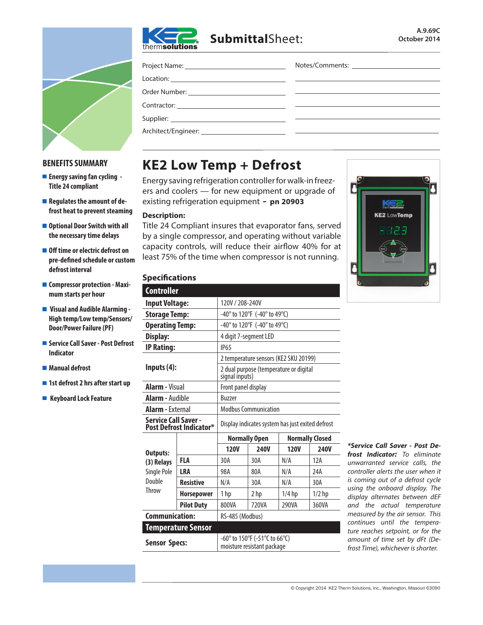

# **Submittal**Sheet:



### **BENEFITS SUMMARY**

- **Energy saving fan cycling Title 24 compliant**
- Regulates the amount of de**frost heat to prevent steaming**
- **Optional Door Switch with all the necessary time delays**
- Off time or electric defrost on **pre-defined schedule or custom defrost interval**
- **E** Compressor protection Maxi**mum starts per hour**
- **Visual and Audible Alarming High temp/Low temp/Sensors/ Door/Power Failure (PF)**
- **Service Call Saver Post Defrost Indicator**
- Manual defrost
- 1st defrost 2 hrs after start up
- Keyboard Lock Feature

| Project Name: ___________________________________ |  |
|---------------------------------------------------|--|
|                                                   |  |
|                                                   |  |
|                                                   |  |
|                                                   |  |
|                                                   |  |

# **KE2 Low Temp + Defrost**

Energy saving refrigeration controller for walk-in freezers and coolers — for new equipment or upgrade of existing refrigeration equipment **- pn 20903**

#### **Description:**

Title 24 Compliant insures that evaporator fans, served by a single compressor, and operating without variable capacity controls, will reduce their airflow 40% for at least 75% of the time when compressor is not running.



## **Specifications**

| <b>Controller</b>                                      |                   |                                                             |             |             |             |  |
|--------------------------------------------------------|-------------------|-------------------------------------------------------------|-------------|-------------|-------------|--|
| <b>Input Voltage:</b>                                  |                   | 120V / 208-240V                                             |             |             |             |  |
| <b>Storage Temp:</b>                                   |                   | $-40^{\circ}$ to 120°F (-40° to 49°C)                       |             |             |             |  |
| <b>Operating Temp:</b>                                 |                   | -40° to 120°F (-40° to 49°C)                                |             |             |             |  |
| <b>Display:</b>                                        |                   | 4 digit 7-segment LED                                       |             |             |             |  |
| <b>IP Rating:</b>                                      |                   | <b>IP65</b>                                                 |             |             |             |  |
| Inputs $(4)$ :                                         |                   | 2 temperature sensors (KE2 SKU 20199)                       |             |             |             |  |
|                                                        |                   | 2 dual purpose (temperature or digital<br>signal inputs)    |             |             |             |  |
| <b>Alarm - Visual</b>                                  |                   | Front panel display                                         |             |             |             |  |
| <b>Alarm - Audible</b>                                 |                   | <b>Buzzer</b>                                               |             |             |             |  |
| <b>Alarm - External</b>                                |                   | <b>Modbus Communication</b>                                 |             |             |             |  |
| <b>Service Call Saver -</b><br>Post Defrost Indicator* |                   | Display indicates system has just exited defrost            |             |             |             |  |
|                                                        |                   | <b>Normally Closed</b><br><b>Normally Open</b>              |             |             |             |  |
| <b>Outputs:</b><br>(3) Relays<br>Single Pole           |                   | <b>120V</b>                                                 | <b>240V</b> | <b>120V</b> | <b>240V</b> |  |
|                                                        | FLA               | 30A                                                         | 30A         | N/A         | 12A         |  |
|                                                        | LRA               | 98A                                                         | 80A         | N/A         | 74A         |  |
| Double                                                 | <b>Resistive</b>  | N/A                                                         | 30A         | N/A         | 30A         |  |
| <b>Throw</b>                                           | <b>Horsepower</b> | 1hp                                                         | 2 hp        | $1/4$ hp    | $1/2$ hp    |  |
|                                                        | <b>Pilot Duty</b> | 800VA                                                       | 720VA       | 290VA       | 360VA       |  |
| <b>Communication:</b>                                  |                   | RS-485 (Modbus)                                             |             |             |             |  |
| <b>Temperature Sensor</b>                              |                   |                                                             |             |             |             |  |
| <b>Sensor Specs:</b>                                   |                   | -60° to 150°F (-51°C to 66°C)<br>moisture resistant package |             |             |             |  |

*\*Service Call Saver - Post Defrost Indicator: To eliminate unwarranted service calls, the controller alerts the user when it is coming out of a defrost cycle using the onboard display. The display alternates between dEF and the actual temperature measured by the air sensor. This continues until the temperature reaches setpoint, or for the amount of time set by dFt (Defrost Time), whichever is shorter.*